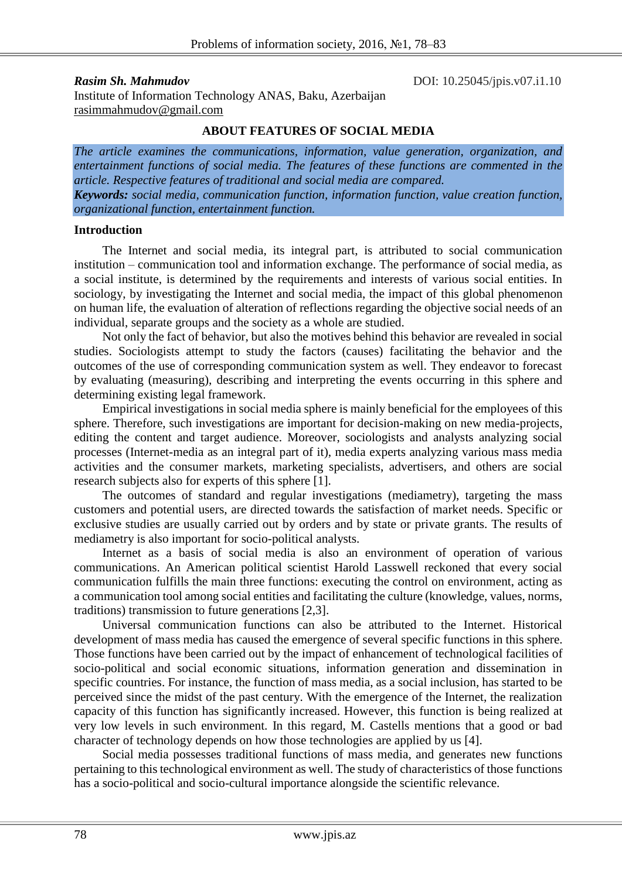**Rasim Sh. Mahmudov DOI:** 10.25045/jpis.v07.i1.10 Institute of Information Technology ANAS, Baku, Azerbaijan [rasimmahmudov@gmail.com](mailto:rasimmahmudov@gmail.com)

#### **ABOUT FEATURES OF SOCIAL MEDIA**

*The article examines the communications, information, value generation, organization, and entertainment functions of social media. The features of these functions are commented in the article. Respective features of traditional and social media are compared. Keywords: social media, communication function, information function, value creation function, organizational function, entertainment function.*

### **Introduction**

The Internet and social media, its integral part, is attributed to social communication institution – communication tool and information exchange. The performance of social media, as a social institute, is determined by the requirements and interests of various social entities. In sociology, by investigating the Internet and social media, the impact of this global phenomenon on human life, the evaluation of alteration of reflections regarding the objective social needs of an individual, separate groups and the society as a whole are studied.

Not only the fact of behavior, but also the motives behind this behavior are revealed in social studies. Sociologists attempt to study the factors (causes) facilitating the behavior and the outcomes of the use of corresponding communication system as well. They endeavor to forecast by evaluating (measuring), describing and interpreting the events occurring in this sphere and determining existing legal framework.

Empirical investigations in social media sphere is mainly beneficial for the employees of this sphere. Therefore, such investigations are important for decision-making on new media-projects, editing the content and target audience. Moreover, sociologists and analysts analyzing social processes (Internet-media as an integral part of it), media experts analyzing various mass media activities and the consumer markets, marketing specialists, advertisers, and others are social research subjects also for experts of this sphere [1].

The outcomes of standard and regular investigations (mediametry), targeting the mass customers and potential users, are directed towards the satisfaction of market needs. Specific or exclusive studies are usually carried out by orders and by state or private grants. The results of mediametry is also important for socio-political analysts.

Internet as a basis of social media is also an environment of operation of various communications. An American political scientist Harold Lasswell reckoned that every social communication fulfills the main three functions: executing the control on environment, acting as a communication tool among social entities and facilitating the culture (knowledge, values, norms, traditions) transmission to future generations [2,3].

Universal communication functions can also be attributed to the Internet. Historical development of mass media has caused the emergence of several specific functions in this sphere. Those functions have been carried out by the impact of enhancement of technological facilities of socio-political and social economic situations, information generation and dissemination in specific countries. For instance, the function of mass media, as a social inclusion, has started to be perceived since the midst of the past century. With the emergence of the Internet, the realization capacity of this function has significantly increased. However, this function is being realized at very low levels in such environment. In this regard, M. Castells mentions that a good or bad character of technology depends on how those technologies are applied by us [4].

Social media possesses traditional functions of mass media, and generates new functions pertaining to this technological environment as well. The study of characteristics of those functions has a socio-political and socio-cultural importance alongside the scientific relevance.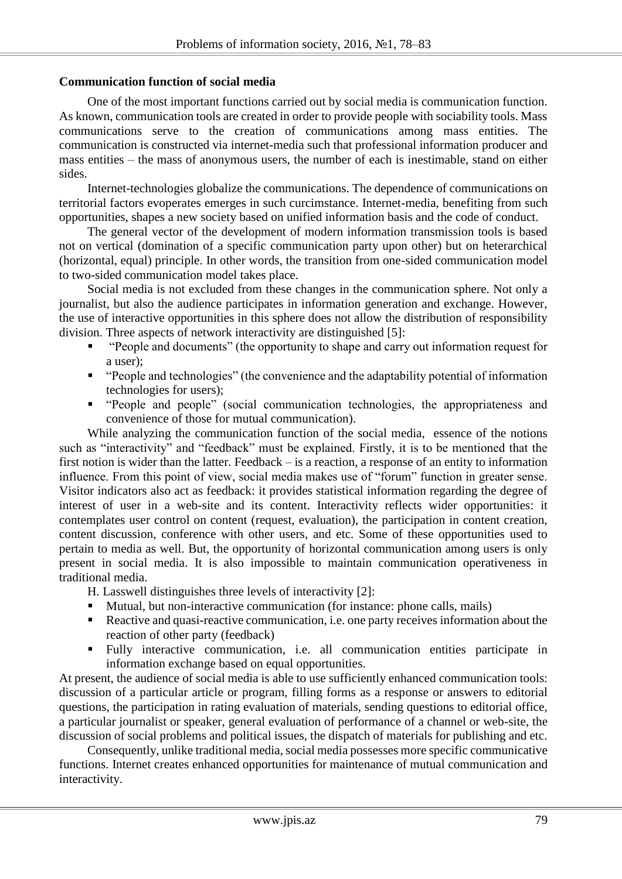### **Communication function of social media**

One of the most important functions carried out by social media is communication function. As known, communication tools are created in order to provide people with sociability tools. Mass communications serve to the creation of communications among mass entities. The communication is constructed via internet-media such that professional information producer and mass entities – the mass of anonymous users, the number of each is inestimable, stand on either sides.

Internet-technologies globalize the communications. The dependence of communications on territorial factors evoperates emerges in such curcimstance. Internet-media, benefiting from such opportunities, shapes a new society based on unified information basis and the code of conduct.

The general vector of the development of modern information transmission tools is based not on vertical (domination of a specific communication party upon other) but on heterarchical (horizontal, equal) principle. In other words, the transition from one-sided communication model to two-sided communication model takes place.

Social media is not excluded from these changes in the communication sphere. Not only a journalist, but also the audience participates in information generation and exchange. However, the use of interactive opportunities in this sphere does not allow the distribution of responsibility division. Three aspects of network interactivity are distinguished [5]:

- "People and documents" (the opportunity to shape and carry out information request for a user);
- "People and technologies" (the convenience and the adaptability potential of information technologies for users);
- "People and people" (social communication technologies, the appropriateness and convenience of those for mutual communication).

While analyzing the communication function of the social media, essence of the notions such as "interactivity" and "feedback" must be explained. Firstly, it is to be mentioned that the first notion is wider than the latter. Feedback – is a reaction, a response of an entity to information influence. From this point of view, social media makes use of "forum" function in greater sense. Visitor indicators also act as feedback: it provides statistical information regarding the degree of interest of user in a web-site and its content. Interactivity reflects wider opportunities: it contemplates user control on content (request, evaluation), the participation in content creation, content discussion, conference with other users, and etc. Some of these opportunities used to pertain to media as well. But, the opportunity of horizontal communication among users is only present in social media. It is also impossible to maintain communication operativeness in traditional media.

H. Lasswell distinguishes three levels of interactivity [2]:

- Mutual, but non-interactive communication (for instance: phone calls, mails)
- Reactive and quasi-reactive communication, i.e. one party receives information about the reaction of other party (feedback)
- Fully interactive communication, i.e. all communication entities participate in information exchange based on equal opportunities.

At present, the audience of social media is able to use sufficiently enhanced communication tools: discussion of a particular article or program, filling forms as a response or answers to editorial questions, the participation in rating evaluation of materials, sending questions to editorial office, a particular journalist or speaker, general evaluation of performance of a channel or web-site, the discussion of social problems and political issues, the dispatch of materials for publishing and etc.

Consequently, unlike traditional media, social media possesses more specific communicative functions. Internet creates enhanced opportunities for maintenance of mutual communication and interactivity.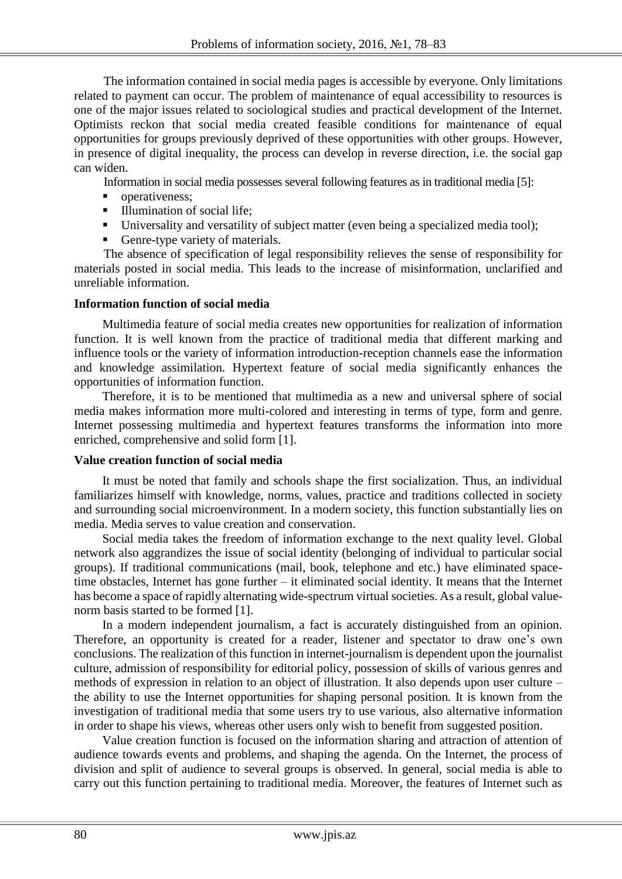The information contained in social media pages is accessible by everyone. Only limitations related to payment can occur. The problem of maintenance of equal accessibility to resources is one of the major issues related to sociological studies and practical development of the Internet. Optimists reckon that social media created feasible conditions for maintenance of equal opportunities for groups previously deprived of these opportunities with other groups. However, in presence of digital inequality, the process can develop in reverse direction, i.e. the social gap can widen.

Information in social media possesses several following features as in traditional media [5]:

- operativeness:
- Illumination of social life;
- Universality and versatility of subject matter (even being a specialized media tool);
- Genre-type variety of materials.

The absence of specification of legal responsibility relieves the sense of responsibility for materials posted in social media. This leads to the increase of misinformation, unclarified and unreliable information.

### **Information function of social media**

Multimedia feature of social media creates new opportunities for realization of information function. It is well known from the practice of traditional media that different marking and influence tools or the variety of information introduction-reception channels ease the information and knowledge assimilation. Hypertext feature of social media significantly enhances the opportunities of information function.

Therefore, it is to be mentioned that multimedia as a new and universal sphere of social media makes information more multi-colored and interesting in terms of type, form and genre. Internet possessing multimedia and hypertext features transforms the information into more enriched, comprehensive and solid form [1].

### **Value creation function of social media**

It must be noted that family and schools shape the first socialization. Thus, an individual familiarizes himself with knowledge, norms, values, practice and traditions collected in society and surrounding social microenvironment. In a modern society, this function substantially lies on media. Media serves to value creation and conservation.

Social media takes the freedom of information exchange to the next quality level. Global network also aggrandizes the issue of social identity (belonging of individual to particular social groups). If traditional communications (mail, book, telephone and etc.) have eliminated spacetime obstacles, Internet has gone further – it eliminated social identity. It means that the Internet has become a space of rapidly alternating wide-spectrum virtual societies. As a result, global valuenorm basis started to be formed [1].

In a modern independent journalism, a fact is accurately distinguished from an opinion. Therefore, an opportunity is created for a reader, listener and spectator to draw one's own conclusions. The realization of this function in internet-journalism is dependent upon the journalist culture, admission of responsibility for editorial policy, possession of skills of various genres and methods of expression in relation to an object of illustration. It also depends upon user culture – the ability to use the Internet opportunities for shaping personal position. It is known from the investigation of traditional media that some users try to use various, also alternative information in order to shape his views, whereas other users only wish to benefit from suggested position.

Value creation function is focused on the information sharing and attraction of attention of audience towards events and problems, and shaping the agenda. On the Internet, the process of division and split of audience to several groups is observed. In general, social media is able to carry out this function pertaining to traditional media. Moreover, the features of Internet such as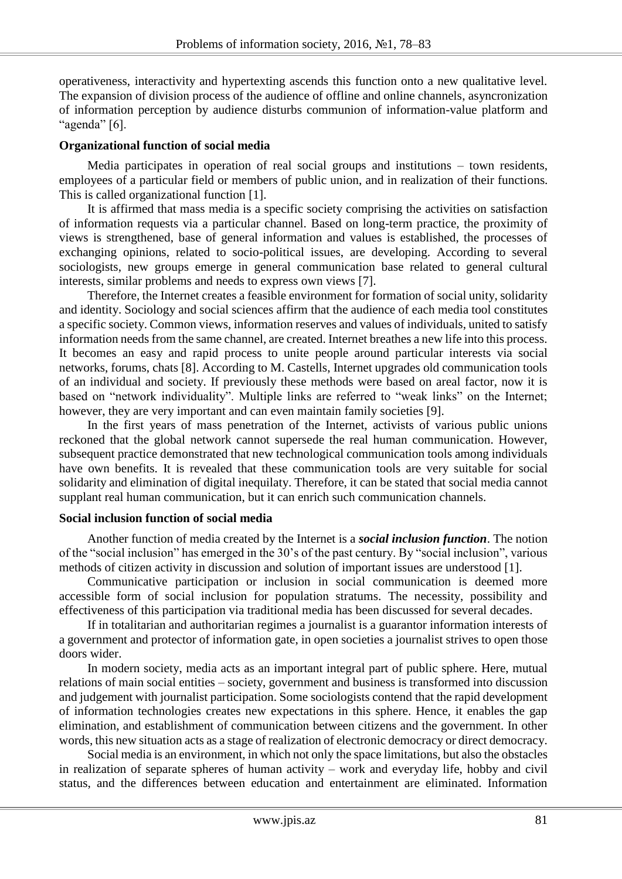operativeness, interactivity and hypertexting ascends this function onto a new qualitative level. The expansion of division process of the audience of offline and online channels, asyncronization of information perception by audience disturbs communion of information-value platform and "agenda"  $[6]$ .

### **Organizational function of social media**

Media participates in operation of real social groups and institutions – town residents, employees of a particular field or members of public union, and in realization of their functions. This is called organizational function [1].

It is affirmed that mass media is a specific society comprising the activities on satisfaction of information requests via a particular channel. Based on long-term practice, the proximity of views is strengthened, base of general information and values is established, the processes of exchanging opinions, related to socio-political issues, are developing. According to several sociologists, new groups emerge in general communication base related to general cultural interests, similar problems and needs to express own views [7].

Therefore, the Internet creates a feasible environment for formation of social unity, solidarity and identity. Sociology and social sciences affirm that the audience of each media tool constitutes a specific society. Common views, information reserves and values of individuals, united to satisfy information needs from the same channel, are created. Internet breathes a new life into this process. It becomes an easy and rapid process to unite people around particular interests via social networks, forums, chats [8]. According to M. Castells, Internet upgrades old communication tools of an individual and society. If previously these methods were based on areal factor, now it is based on "network individuality". Multiple links are referred to "weak links" on the Internet; however, they are very important and can even maintain family societies [9].

In the first years of mass penetration of the Internet, activists of various public unions reckoned that the global network cannot supersede the real human communication. However, subsequent practice demonstrated that new technological communication tools among individuals have own benefits. It is revealed that these communication tools are very suitable for social solidarity and elimination of digital inequilaty. Therefore, it can be stated that social media cannot supplant real human communication, but it can enrich such communication channels.

### **Social inclusion function of social media**

Another function of media created by the Internet is a *social inclusion function*. The notion of the "social inclusion" has emerged in the 30's of the past century. By "social inclusion", various methods of citizen activity in discussion and solution of important issues are understood [1].

Communicative participation or inclusion in social communication is deemed more accessible form of social inclusion for population stratums. The necessity, possibility and effectiveness of this participation via traditional media has been discussed for several decades.

If in totalitarian and authoritarian regimes a journalist is a guarantor information interests of a government and protector of information gate, in open societies a journalist strives to open those doors wider.

In modern society, media acts as an important integral part of public sphere. Here, mutual relations of main social entities – society, government and business is transformed into discussion and judgement with journalist participation. Some sociologists contend that the rapid development of information technologies creates new expectations in this sphere. Hence, it enables the gap elimination, and establishment of communication between citizens and the government. In other words, this new situation acts as a stage of realization of electronic democracy or direct democracy.

Social media is an environment, in which not only the space limitations, but also the obstacles in realization of separate spheres of human activity – work and everyday life, hobby and civil status, and the differences between education and entertainment are eliminated. Information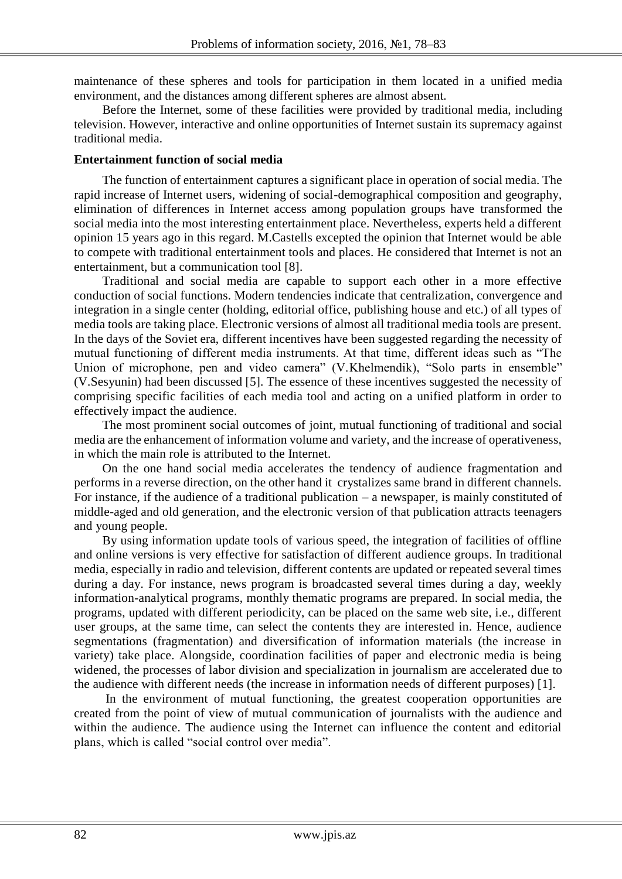maintenance of these spheres and tools for participation in them located in a unified media environment, and the distances among different spheres are almost absent.

Before the Internet, some of these facilities were provided by traditional media, including television. However, interactive and online opportunities of Internet sustain its supremacy against traditional media.

### **Entertainment function of social media**

The function of entertainment captures a significant place in operation of social media. The rapid increase of Internet users, widening of social-demographical composition and geography, elimination of differences in Internet access among population groups have transformed the social media into the most interesting entertainment place. Nevertheless, experts held a different opinion 15 years ago in this regard. M.Castells excepted the opinion that Internet would be able to compete with traditional entertainment tools and places. He considered that Internet is not an entertainment, but a communication tool [8].

Traditional and social media are capable to support each other in a more effective conduction of social functions. Modern tendencies indicate that centralization, convergence and integration in a single center (holding, editorial office, publishing house and etc.) of all types of media tools are taking place. Electronic versions of almost all traditional media tools are present. In the days of the Soviet era, different incentives have been suggested regarding the necessity of mutual functioning of different media instruments. At that time, different ideas such as "The Union of microphone, pen and video camera" (V.Khelmendik), "Solo parts in ensemble" (V.Sesyunin) had been discussed [5]. The essence of these incentives suggested the necessity of comprising specific facilities of each media tool and acting on a unified platform in order to effectively impact the audience.

The most prominent social outcomes of joint, mutual functioning of traditional and social media are the enhancement of information volume and variety, and the increase of operativeness, in which the main role is attributed to the Internet.

On the one hand social media accelerates the tendency of audience fragmentation and performs in a reverse direction, on the other hand it crystalizes same brand in different channels. For instance, if the audience of a traditional publication – a newspaper, is mainly constituted of middle-aged and old generation, and the electronic version of that publication attracts teenagers and young people.

By using information update tools of various speed, the integration of facilities of offline and online versions is very effective for satisfaction of different audience groups. In traditional media, especially in radio and television, different contents are updated or repeated several times during a day. For instance, news program is broadcasted several times during a day, weekly information-analytical programs, monthly thematic programs are prepared. In social media, the programs, updated with different periodicity, can be placed on the same web site, i.e., different user groups, at the same time, can select the contents they are interested in. Hence, audience segmentations (fragmentation) and diversification of information materials (the increase in variety) take place. Alongside, coordination facilities of paper and electronic media is being widened, the processes of labor division and specialization in journalism are accelerated due to the audience with different needs (the increase in information needs of different purposes) [1].

In the environment of mutual functioning, the greatest cooperation opportunities are created from the point of view of mutual communication of journalists with the audience and within the audience. The audience using the Internet can influence the content and editorial plans, which is called "social control over media".